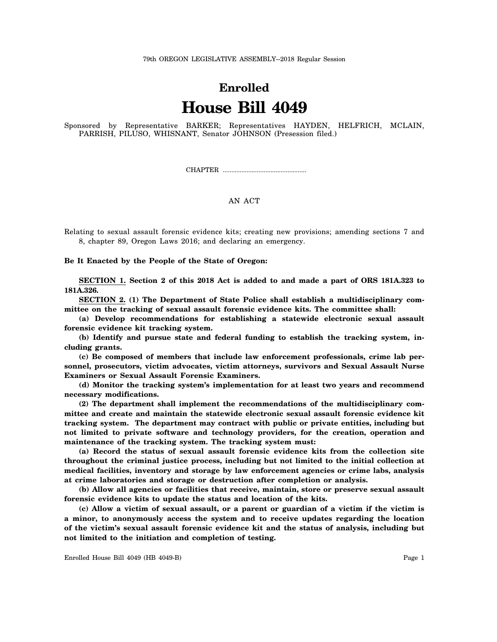## 79th OREGON LEGISLATIVE ASSEMBLY--2018 Regular Session

## **Enrolled House Bill 4049**

Sponsored by Representative BARKER; Representatives HAYDEN, HELFRICH, MCLAIN, PARRISH, PILUSO, WHISNANT, Senator JOHNSON (Presession filed.)

CHAPTER .................................................

## AN ACT

Relating to sexual assault forensic evidence kits; creating new provisions; amending sections 7 and 8, chapter 89, Oregon Laws 2016; and declaring an emergency.

**Be It Enacted by the People of the State of Oregon:**

**SECTION 1. Section 2 of this 2018 Act is added to and made a part of ORS 181A.323 to 181A.326.**

**SECTION 2. (1) The Department of State Police shall establish a multidisciplinary committee on the tracking of sexual assault forensic evidence kits. The committee shall:**

**(a) Develop recommendations for establishing a statewide electronic sexual assault forensic evidence kit tracking system.**

**(b) Identify and pursue state and federal funding to establish the tracking system, including grants.**

**(c) Be composed of members that include law enforcement professionals, crime lab personnel, prosecutors, victim advocates, victim attorneys, survivors and Sexual Assault Nurse Examiners or Sexual Assault Forensic Examiners.**

**(d) Monitor the tracking system's implementation for at least two years and recommend necessary modifications.**

**(2) The department shall implement the recommendations of the multidisciplinary committee and create and maintain the statewide electronic sexual assault forensic evidence kit tracking system. The department may contract with public or private entities, including but not limited to private software and technology providers, for the creation, operation and maintenance of the tracking system. The tracking system must:**

**(a) Record the status of sexual assault forensic evidence kits from the collection site throughout the criminal justice process, including but not limited to the initial collection at medical facilities, inventory and storage by law enforcement agencies or crime labs, analysis at crime laboratories and storage or destruction after completion or analysis.**

**(b) Allow all agencies or facilities that receive, maintain, store or preserve sexual assault forensic evidence kits to update the status and location of the kits.**

**(c) Allow a victim of sexual assault, or a parent or guardian of a victim if the victim is a minor, to anonymously access the system and to receive updates regarding the location of the victim's sexual assault forensic evidence kit and the status of analysis, including but not limited to the initiation and completion of testing.**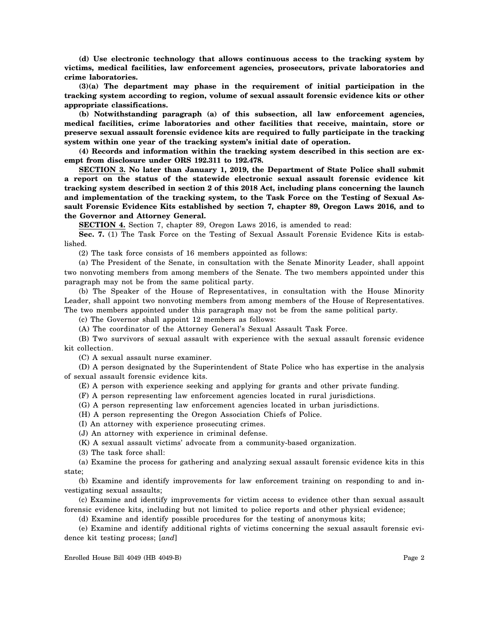**(d) Use electronic technology that allows continuous access to the tracking system by victims, medical facilities, law enforcement agencies, prosecutors, private laboratories and crime laboratories.**

**(3)(a) The department may phase in the requirement of initial participation in the tracking system according to region, volume of sexual assault forensic evidence kits or other appropriate classifications.**

**(b) Notwithstanding paragraph (a) of this subsection, all law enforcement agencies, medical facilities, crime laboratories and other facilities that receive, maintain, store or preserve sexual assault forensic evidence kits are required to fully participate in the tracking system within one year of the tracking system's initial date of operation.**

**(4) Records and information within the tracking system described in this section are exempt from disclosure under ORS 192.311 to 192.478.**

**SECTION 3. No later than January 1, 2019, the Department of State Police shall submit a report on the status of the statewide electronic sexual assault forensic evidence kit tracking system described in section 2 of this 2018 Act, including plans concerning the launch and implementation of the tracking system, to the Task Force on the Testing of Sexual Assault Forensic Evidence Kits established by section 7, chapter 89, Oregon Laws 2016, and to the Governor and Attorney General.**

**SECTION 4.** Section 7, chapter 89, Oregon Laws 2016, is amended to read:

**Sec. 7.** (1) The Task Force on the Testing of Sexual Assault Forensic Evidence Kits is established.

(2) The task force consists of 16 members appointed as follows:

(a) The President of the Senate, in consultation with the Senate Minority Leader, shall appoint two nonvoting members from among members of the Senate. The two members appointed under this paragraph may not be from the same political party.

(b) The Speaker of the House of Representatives, in consultation with the House Minority Leader, shall appoint two nonvoting members from among members of the House of Representatives. The two members appointed under this paragraph may not be from the same political party.

(c) The Governor shall appoint 12 members as follows:

(A) The coordinator of the Attorney General's Sexual Assault Task Force.

(B) Two survivors of sexual assault with experience with the sexual assault forensic evidence kit collection.

(C) A sexual assault nurse examiner.

(D) A person designated by the Superintendent of State Police who has expertise in the analysis of sexual assault forensic evidence kits.

(E) A person with experience seeking and applying for grants and other private funding.

(F) A person representing law enforcement agencies located in rural jurisdictions.

(G) A person representing law enforcement agencies located in urban jurisdictions.

(H) A person representing the Oregon Association Chiefs of Police.

(I) An attorney with experience prosecuting crimes.

(J) An attorney with experience in criminal defense.

(K) A sexual assault victims' advocate from a community-based organization.

(3) The task force shall:

(a) Examine the process for gathering and analyzing sexual assault forensic evidence kits in this state;

(b) Examine and identify improvements for law enforcement training on responding to and investigating sexual assaults;

(c) Examine and identify improvements for victim access to evidence other than sexual assault forensic evidence kits, including but not limited to police reports and other physical evidence;

(d) Examine and identify possible procedures for the testing of anonymous kits;

(e) Examine and identify additional rights of victims concerning the sexual assault forensic evidence kit testing process; [*and*]

Enrolled House Bill 4049 (HB 4049-B) Page 2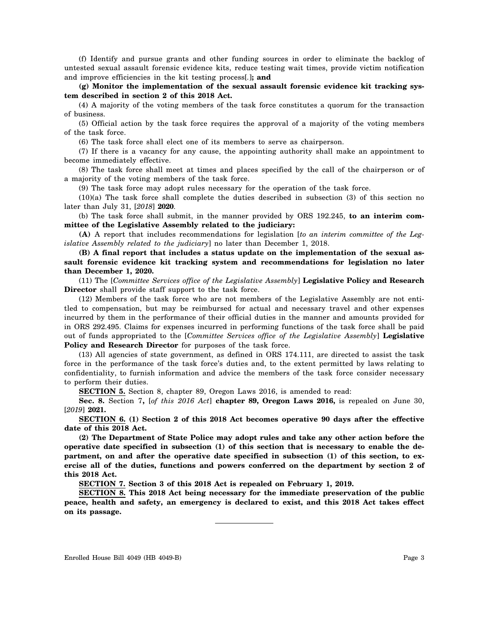(f) Identify and pursue grants and other funding sources in order to eliminate the backlog of untested sexual assault forensic evidence kits, reduce testing wait times, provide victim notification and improve efficiencies in the kit testing process[*.*]**; and**

**(g) Monitor the implementation of the sexual assault forensic evidence kit tracking system described in section 2 of this 2018 Act.**

(4) A majority of the voting members of the task force constitutes a quorum for the transaction of business.

(5) Official action by the task force requires the approval of a majority of the voting members of the task force.

(6) The task force shall elect one of its members to serve as chairperson.

(7) If there is a vacancy for any cause, the appointing authority shall make an appointment to become immediately effective.

(8) The task force shall meet at times and places specified by the call of the chairperson or of a majority of the voting members of the task force.

(9) The task force may adopt rules necessary for the operation of the task force.

(10)(a) The task force shall complete the duties described in subsection (3) of this section no later than July 31, [*2018*] **2020**.

(b) The task force shall submit, in the manner provided by ORS 192.245, **to an interim committee of the Legislative Assembly related to the judiciary:**

**(A)** A report that includes recommendations for legislation [*to an interim committee of the Legislative Assembly related to the judiciary*] no later than December 1, 2018.

**(B) A final report that includes a status update on the implementation of the sexual assault forensic evidence kit tracking system and recommendations for legislation no later than December 1, 2020.**

(11) The [*Committee Services office of the Legislative Assembly*] **Legislative Policy and Research Director** shall provide staff support to the task force.

(12) Members of the task force who are not members of the Legislative Assembly are not entitled to compensation, but may be reimbursed for actual and necessary travel and other expenses incurred by them in the performance of their official duties in the manner and amounts provided for in ORS 292.495. Claims for expenses incurred in performing functions of the task force shall be paid out of funds appropriated to the [*Committee Services office of the Legislative Assembly*] **Legislative Policy and Research Director** for purposes of the task force.

(13) All agencies of state government, as defined in ORS 174.111, are directed to assist the task force in the performance of the task force's duties and, to the extent permitted by laws relating to confidentiality, to furnish information and advice the members of the task force consider necessary to perform their duties.

**SECTION 5.** Section 8, chapter 89, Oregon Laws 2016, is amended to read:

**Sec. 8.** Section 7**,** [*of this 2016 Act*] **chapter 89, Oregon Laws 2016,** is repealed on June 30, [*2019*] **2021.**

**SECTION 6. (1) Section 2 of this 2018 Act becomes operative 90 days after the effective date of this 2018 Act.**

**(2) The Department of State Police may adopt rules and take any other action before the operative date specified in subsection (1) of this section that is necessary to enable the department, on and after the operative date specified in subsection (1) of this section, to exercise all of the duties, functions and powers conferred on the department by section 2 of this 2018 Act.**

**SECTION 7. Section 3 of this 2018 Act is repealed on February 1, 2019.**

**SECTION 8. This 2018 Act being necessary for the immediate preservation of the public peace, health and safety, an emergency is declared to exist, and this 2018 Act takes effect on its passage.**